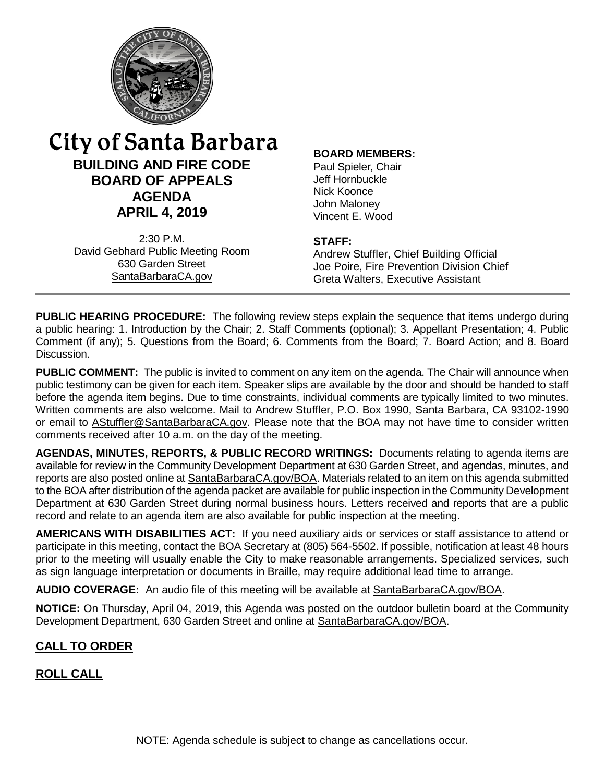

# City of Santa Barbara<br>**BUILDING AND FIRE CODE** Paul Spieler, Chair **BUILDING AND FIRE CODE**<br>**ROARD OF APPEALS** BOARD Jeff Hornbuckle **BOARD OF APPEALS** Jeff Hornbuck<br> **ACENDA**<br>
Nick Koonce **AGENDA** Nick Koonce<br>
John Maloney **APRIL 4, 2019** Vincent E. Wood

2:30 P.M.<br>**David Gebhard Public Meeting Room STAFF: Stuffler, Chief Building Official** 

630 Garden Street Joe Poire, Fire Prevention Division Chief SantaBarbaraCA.gov<br>
Greta Walters Executive Assistant Greta Walters, Executive Assistant

**PUBLIC HEARING PROCEDURE:** The following review steps explain the sequence that items undergo during a public hearing: 1. Introduction by the Chair; 2. Staff Comments (optional); 3. Appellant Presentation; 4. Public Comment (if any); 5. Questions from the Board; 6. Comments from the Board; 7. Board Action; and 8. Board Discussion.

**PUBLIC COMMENT:** The public is invited to comment on any item on the agenda. The Chair will announce when public testimony can be given for each item. Speaker slips are available by the door and should be handed to staff before the agenda item begins. Due to time constraints, individual comments are typically limited to two minutes. Written comments are also welcome. Mail to Andrew Stuffler, P.O. Box 1990, Santa Barbara, CA 93102-1990 or email to **AStuffler@SantaBarbaraCA.gov**. Please note that the BOA may not have time to consider written comments received after 10 a.m. on the day of the meeting.

**AGENDAS, MINUTES, REPORTS, & PUBLIC RECORD WRITINGS:** Documents relating to agenda items are available for review in the Community Development Department at 630 Garden Street, and agendas, minutes, and reports are also posted online at [SantaBarbaraCA.gov/BOA.](http://www.santabarbaraca.gov/BOA) Materials related to an item on this agenda submitted to the BOA after distribution of the agenda packet are available for public inspection in the Community Development Department at 630 Garden Street during normal business hours. Letters received and reports that are a public record and relate to an agenda item are also available for public inspection at the meeting.

**AMERICANS WITH DISABILITIES ACT:** If you need auxiliary aids or services or staff assistance to attend or participate in this meeting, contact the BOA Secretary at (805) 564-5502. If possible, notification at least 48 hours prior to the meeting will usually enable the City to make reasonable arrangements. Specialized services, such as sign language interpretation or documents in Braille, may require additional lead time to arrange.

**AUDIO COVERAGE:** An audio file of this meeting will be available at [SantaBarbaraCA.gov/BOA.](http://www.santabarbaraca.gov/gov/brdcomm/ac/bfcba/agendas.asp?utm_source=CommunityDevelopment&utm_medium=BOA&utm_campaign=QuickLinks)

**NOTICE:** On Thursday, April 04, 2019, this Agenda was posted on the outdoor bulletin board at the Community Development Department, 630 Garden Street and online at [SantaBarbaraCA.gov/BOA.](http://www.santabarbaraca.gov/BOA)

# **CALL TO ORDER**

# **ROLL CALL**